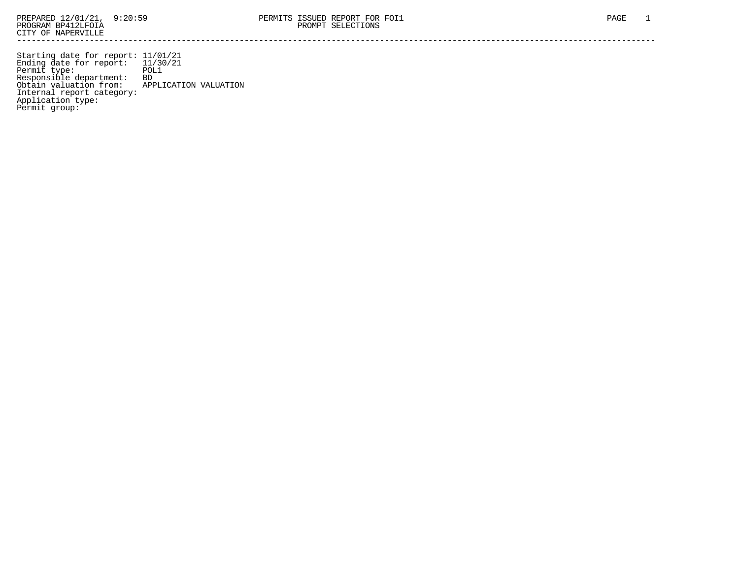Starting date for report: 11/01/21 Ending date for report: 11/30/21 Permit type: POL1 Responsible department: BD Obtain valuation from: APPLICATION VALUATION Internal report category: Application type: Permit group: